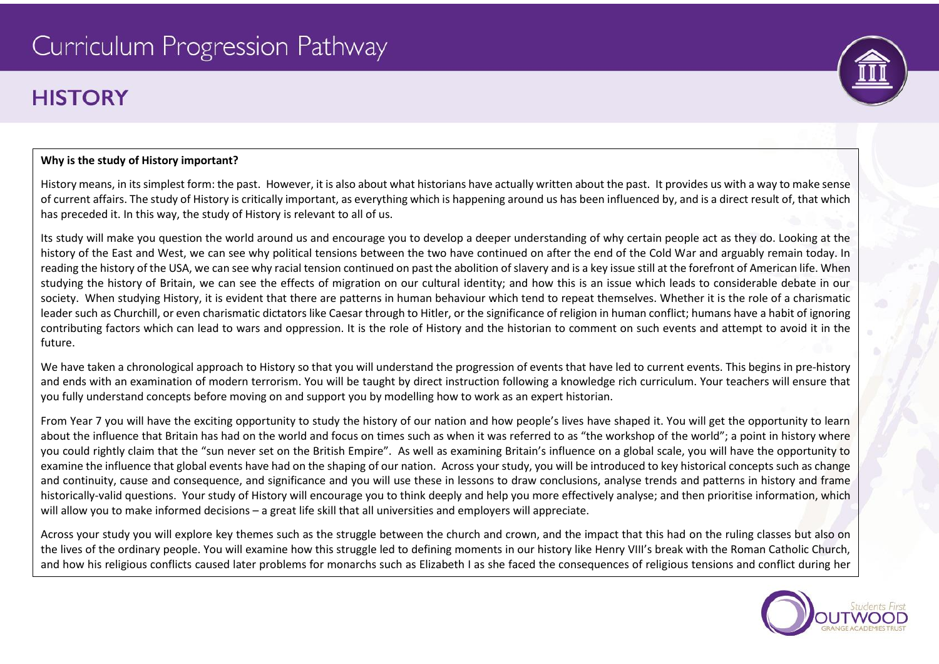# Curriculum Progression Pathway

## **HISTORY**



History means, in its simplest form: the past. However, it is also about what historians have actually written about the past. It provides us with a way to make sense of current affairs. The study of History is critically important, as everything which is happening around us has been influenced by, and is a direct result of, that which has preceded it. In this way, the study of History is relevant to all of us.

Its study will make you question the world around us and encourage you to develop a deeper understanding of why certain people act as they do. Looking at the history of the East and West, we can see why political tensions between the two have continued on after the end of the Cold War and arguably remain today. In reading the history of the USA, we can see why racial tension continued on past the abolition of slavery and is a key issue still at the forefront of American life. When studying the history of Britain, we can see the effects of migration on our cultural identity; and how this is an issue which leads to considerable debate in our society. When studying History, it is evident that there are patterns in human behaviour which tend to repeat themselves. Whether it is the role of a charismatic leader such as Churchill, or even charismatic dictators like Caesar through to Hitler, or the significance of religion in human conflict; humans have a habit of ignoring contributing factors which can lead to wars and oppression. It is the role of History and the historian to comment on such events and attempt to avoid it in the future.

We have taken a chronological approach to History so that you will understand the progression of events that have led to current events. This begins in pre-history and ends with an examination of modern terrorism. You will be taught by direct instruction following a knowledge rich curriculum. Your teachers will ensure that you fully understand concepts before moving on and support you by modelling how to work as an expert historian.

From Year 7 you will have the exciting opportunity to study the history of our nation and how people's lives have shaped it. You will get the opportunity to learn about the influence that Britain has had on the world and focus on times such as when it was referred to as "the workshop of the world"; a point in history where you could rightly claim that the "sun never set on the British Empire". As well as examining Britain's influence on a global scale, you will have the opportunity to examine the influence that global events have had on the shaping of our nation. Across your study, you will be introduced to key historical concepts such as change and continuity, cause and consequence, and significance and you will use these in lessons to draw conclusions, analyse trends and patterns in history and frame historically-valid questions. Your study of History will encourage you to think deeply and help you more effectively analyse; and then prioritise information, which will allow you to make informed decisions – a great life skill that all universities and employers will appreciate.

Across your study you will explore key themes such as the struggle between the church and crown, and the impact that this had on the ruling classes but also on the lives of the ordinary people. You will examine how this struggle led to defining moments in our history like Henry VIII's break with the Roman Catholic Church, and how his religious conflicts caused later problems for monarchs such as Elizabeth I as she faced the consequences of religious tensions and conflict during her



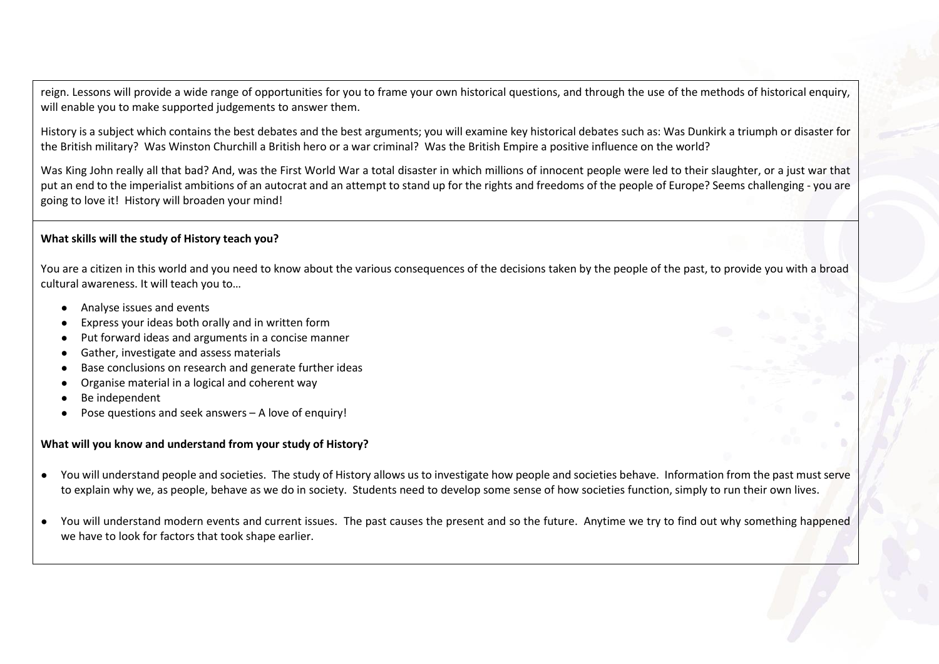reign. Lessons will provide a wide range of opportunities for you to frame your own historical questions, and through the use of the methods of historical enquiry, will enable you to make supported judgements to answer them.

History is a subject which contains the best debates and the best arguments; you will examine key historical debates such as: Was Dunkirk a triumph or disaster for the British military? Was Winston Churchill a British hero or a war criminal? Was the British Empire a positive influence on the world?

Was King John really all that bad? And, was the First World War a total disaster in which millions of innocent people were led to their slaughter, or a just war that put an end to the imperialist ambitions of an autocrat and an attempt to stand up for the rights and freedoms of the people of Europe? Seems challenging - you are going to love it! History will broaden your mind!

#### **What skills will the study of History teach you?**

You are a citizen in this world and you need to know about the various consequences of the decisions taken by the people of the past, to provide you with a broad cultural awareness. It will teach you to…

- Analyse issues and events
- Express your ideas both orally and in written form
- Put forward ideas and arguments in a concise manner
- Gather, investigate and assess materials
- Base conclusions on research and generate further ideas
- Organise material in a logical and coherent way
- Be independent
- Pose questions and seek answers  $-$  A love of enquiry!

#### **What will you know and understand from your study of History?**

- You will understand people and societies. The study of History allows us to investigate how people and societies behave. Information from the past must serve to explain why we, as people, behave as we do in society. Students need to develop some sense of how societies function, simply to run their own lives.
- You will understand modern events and current issues. The past causes the present and so the future. Anytime we try to find out why something happened we have to look for factors that took shape earlier.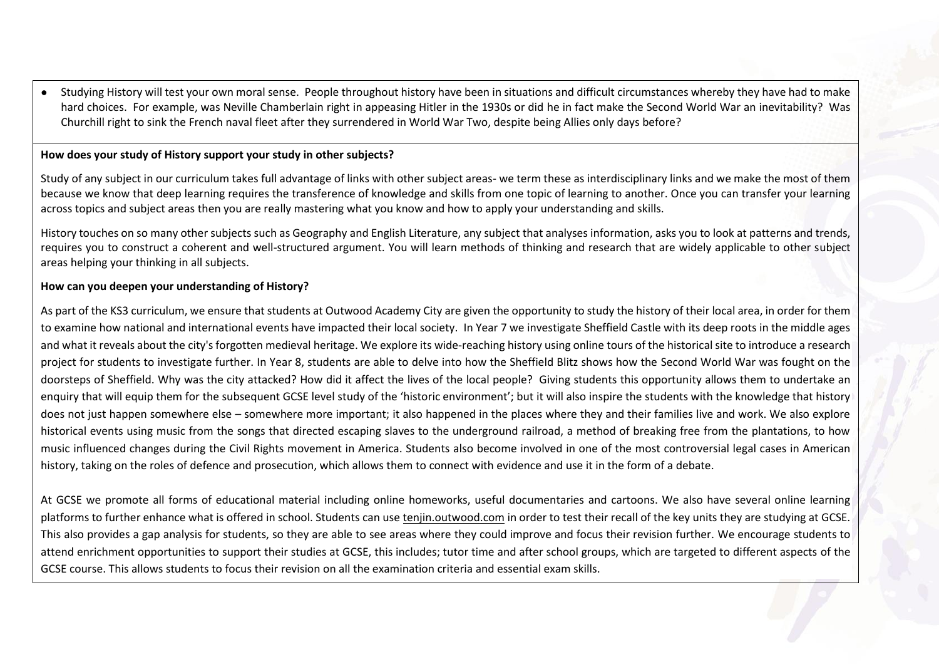● Studying History will test your own moral sense. People throughout history have been in situations and difficult circumstances whereby they have had to make hard choices. For example, was Neville Chamberlain right in appeasing Hitler in the 1930s or did he in fact make the Second World War an inevitability? Was Churchill right to sink the French naval fleet after they surrendered in World War Two, despite being Allies only days before?

#### **How does your study of History support your study in other subjects?**

Study of any subject in our curriculum takes full advantage of links with other subject areas- we term these as interdisciplinary links and we make the most of them because we know that deep learning requires the transference of knowledge and skills from one topic of learning to another. Once you can transfer your learning across topics and subject areas then you are really mastering what you know and how to apply your understanding and skills.

History touches on so many other subjects such as Geography and English Literature, any subject that analyses information, asks you to look at patterns and trends, requires you to construct a coherent and well-structured argument. You will learn methods of thinking and research that are widely applicable to other subject areas helping your thinking in all subjects.

#### **How can you deepen your understanding of History?**

As part of the KS3 curriculum, we ensure that students at Outwood Academy City are given the opportunity to study the history of their local area, in order for them to examine how national and international events have impacted their local society. In Year 7 we investigate Sheffield Castle with its deep roots in the middle ages and what it reveals about the city's forgotten medieval heritage. We explore its wide-reaching history using online tours of the historical site to introduce a research project for students to investigate further. In Year 8, students are able to delve into how the Sheffield Blitz shows how the Second World War was fought on the doorsteps of Sheffield. Why was the city attacked? How did it affect the lives of the local people? Giving students this opportunity allows them to undertake an enquiry that will equip them for the subsequent GCSE level study of the 'historic environment'; but it will also inspire the students with the knowledge that history does not just happen somewhere else – somewhere more important; it also happened in the places where they and their families live and work. We also explore historical events using music from the songs that directed escaping slaves to the underground railroad, a method of breaking free from the plantations, to how music influenced changes during the Civil Rights movement in America. Students also become involved in one of the most controversial legal cases in American history, taking on the roles of defence and prosecution, which allows them to connect with evidence and use it in the form of a debate.

At GCSE we promote all forms of educational material including online homeworks, useful documentaries and cartoons. We also have several online learning platforms to further enhance what is offered in school. Students can use [tenjin.outwood.com](http://quiz.outwood.com/) in order to test their recall of the key units they are studying at GCSE. This also provides a gap analysis for students, so they are able to see areas where they could improve and focus their revision further. We encourage students to attend enrichment opportunities to support their studies at GCSE, this includes; tutor time and after school groups, which are targeted to different aspects of the GCSE course. This allows students to focus their revision on all the examination criteria and essential exam skills.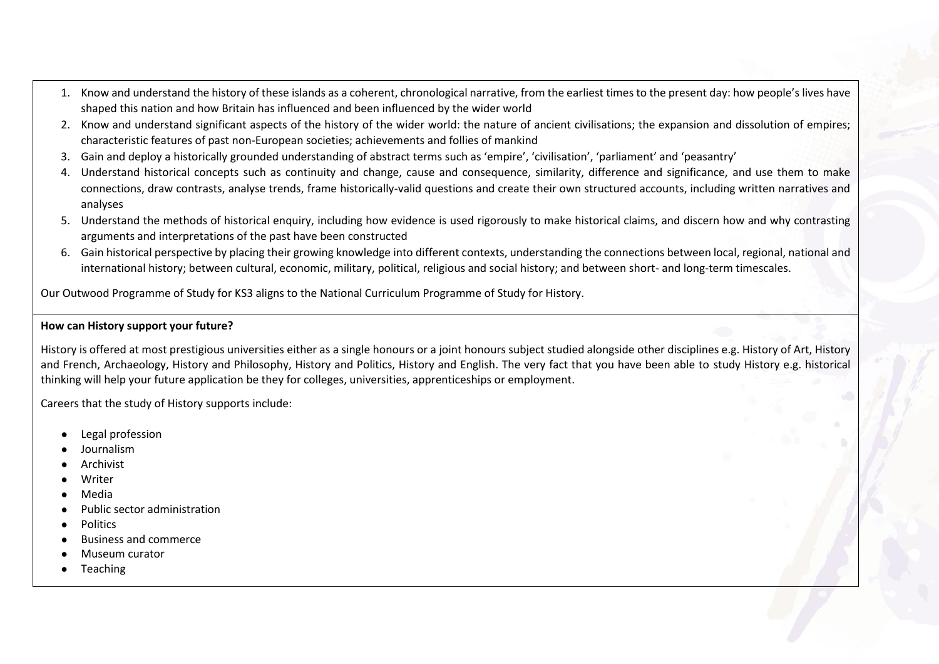- 1. Know and understand the history of these islands as a coherent, chronological narrative, from the earliest times to the present day: how people's lives have shaped this nation and how Britain has influenced and been influenced by the wider world
- 2. Know and understand significant aspects of the history of the wider world: the nature of ancient civilisations; the expansion and dissolution of empires; characteristic features of past non-European societies; achievements and follies of mankind
- 3. Gain and deploy a historically grounded understanding of abstract terms such as 'empire', 'civilisation', 'parliament' and 'peasantry'
- 4. Understand historical concepts such as continuity and change, cause and consequence, similarity, difference and significance, and use them to make connections, draw contrasts, analyse trends, frame historically-valid questions and create their own structured accounts, including written narratives and analyses
- 5. Understand the methods of historical enquiry, including how evidence is used rigorously to make historical claims, and discern how and why contrasting arguments and interpretations of the past have been constructed
- 6. Gain historical perspective by placing their growing knowledge into different contexts, understanding the connections between local, regional, national and international history; between cultural, economic, military, political, religious and social history; and between short- and long-term timescales.

Our Outwood Programme of Study for KS3 aligns to the National Curriculum Programme of Study for History.

#### **How can History support your future?**

History is offered at most prestigious universities either as a single honours or a joint honours subject studied alongside other disciplines e.g. History of Art, History and French, Archaeology, History and Philosophy, History and Politics, History and English. The very fact that you have been able to study History e.g. historical thinking will help your future application be they for colleges, universities, apprenticeships or employment.

Careers that the study of History supports include:

- **Legal profession**
- **Journalism**
- **Archivist**
- Writer
- **Media**
- Public sector administration
- **Politics**
- **Business and commerce**
- Museum curator
- **Teaching**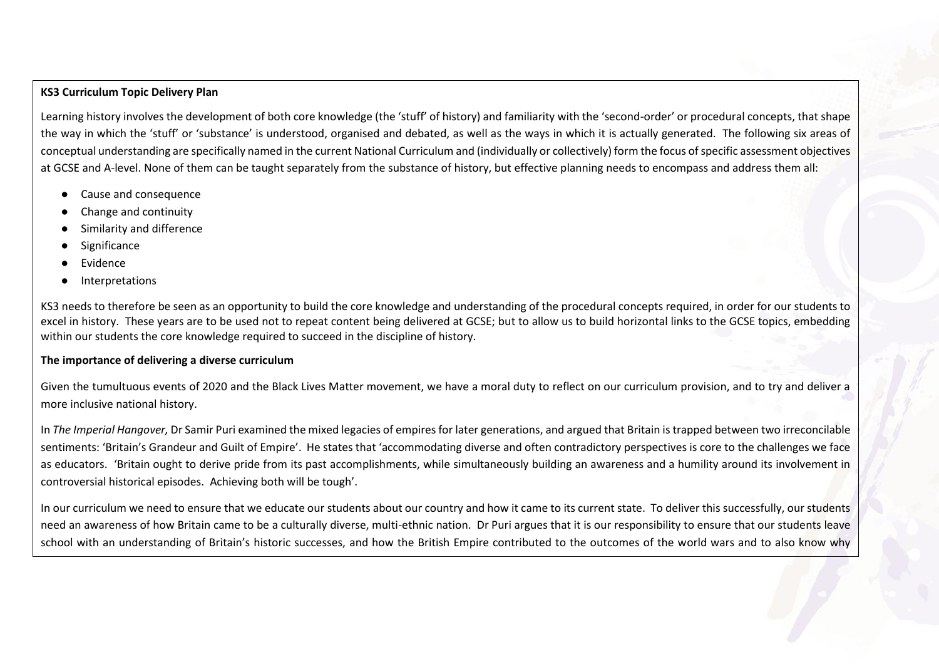#### **KS3 Curriculum Topic Delivery Plan**

Learning history involves the development of both core knowledge (the 'stuff' of history) and familiarity with the 'second-order' or procedural concepts, that shape the way in which the 'stuff' or 'substance' is understood, organised and debated, as well as the ways in which it is actually generated. The following six areas of conceptual understanding are specifically named in the current National Curriculum and (individually or collectively) form the focus of specific assessment objectives at GCSE and A-level. None of them can be taught separately from the substance of history, but effective planning needs to encompass and address them all:

- Cause and consequence
- Change and continuity
- Similarity and difference
- Significance
- **Evidence**
- **Interpretations**

KS3 needs to therefore be seen as an opportunity to build the core knowledge and understanding of the procedural concepts required, in order for our students to excel in history. These years are to be used not to repeat content being delivered at GCSE; but to allow us to build horizontal links to the GCSE topics, embedding within our students the core knowledge required to succeed in the discipline of history.

#### **The importance of delivering a diverse curriculum**

Given the tumultuous events of 2020 and the Black Lives Matter movement, we have a moral duty to reflect on our curriculum provision, and to try and deliver a more inclusive national history.

In *The Imperial Hangover,* Dr Samir Puri examined the mixed legacies of empires for later generations, and argued that Britain is trapped between two irreconcilable sentiments: 'Britain's Grandeur and Guilt of Empire'. He states that 'accommodating diverse and often contradictory perspectives is core to the challenges we face as educators. 'Britain ought to derive pride from its past accomplishments, while simultaneously building an awareness and a humility around its involvement in controversial historical episodes. Achieving both will be tough'.

In our curriculum we need to ensure that we educate our students about our country and how it came to its current state. To deliver this successfully, our students need an awareness of how Britain came to be a culturally diverse, multi-ethnic nation. Dr Puri argues that it is our responsibility to ensure that our students leave school with an understanding of Britain's historic successes, and how the British Empire contributed to the outcomes of the world wars and to also know why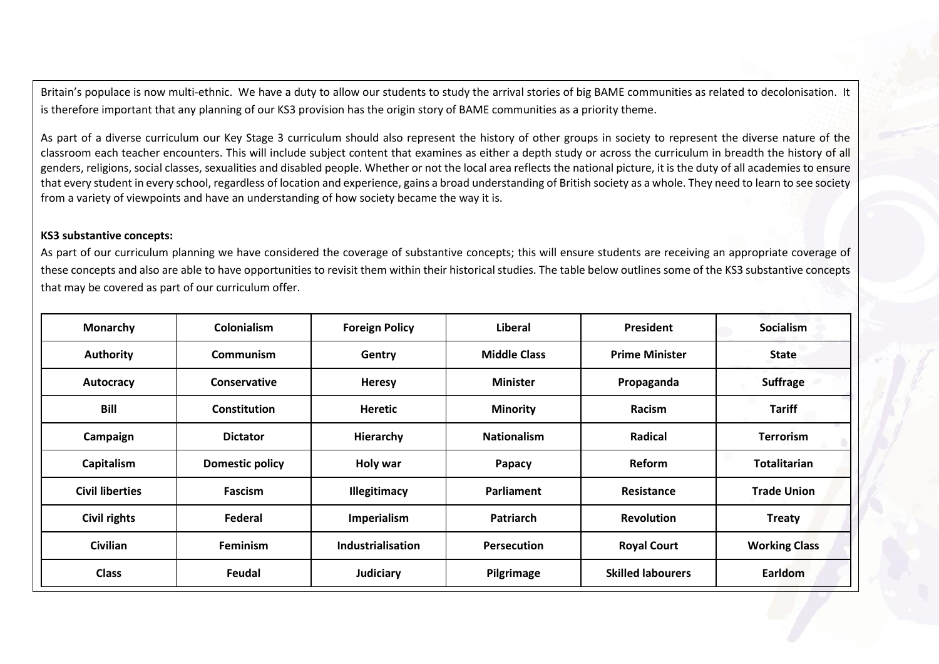Britain's populace is now multi-ethnic. We have a duty to allow our students to study the arrival stories of big BAME communities as related to decolonisation. It is therefore important that any planning of our KS3 provision has the origin story of BAME communities as a priority theme.

As part of a diverse curriculum our Key Stage 3 curriculum should also represent the history of other groups in society to represent the diverse nature of the classroom each teacher encounters. This will include subject content that examines as either a depth study or across the curriculum in breadth the history of all genders, religions, social classes, sexualities and disabled people. Whether or not the local area reflects the national picture, it is the duty of all academies to ensure that every student in every school, regardless of location and experience, gains a broad understanding of British society as a whole. They need to learn to see society from a variety of viewpoints and have an understanding of how society became the way it is.

#### **KS3 substantive concepts:**

As part of our curriculum planning we have considered the coverage of substantive concepts; this will ensure students are receiving an appropriate coverage of these concepts and also are able to have opportunities to revisit them within their historical studies. The table below outlines some of the KS3 substantive concepts that may be covered as part of our curriculum offer.

| <b>Monarchy</b>        | <b>Colonialism</b>     | <b>Foreign Policy</b>    | <b>Liberal</b>      | <b>President</b>         | <b>Socialism</b>     |
|------------------------|------------------------|--------------------------|---------------------|--------------------------|----------------------|
| <b>Authority</b>       | <b>Communism</b>       | Gentry                   | <b>Middle Class</b> | <b>Prime Minister</b>    | <b>State</b>         |
| Autocracy              | Conservative           | <b>Heresy</b>            | <b>Minister</b>     | Propaganda               | <b>Suffrage</b>      |
| <b>Bill</b>            | <b>Constitution</b>    | <b>Heretic</b>           | <b>Minority</b>     | <b>Racism</b>            | <b>Tariff</b>        |
| Campaign               | <b>Dictator</b>        | Hierarchy                | <b>Nationalism</b>  | Radical                  | <b>Terrorism</b>     |
| <b>Capitalism</b>      | <b>Domestic policy</b> | Holy war                 | Papacy              | Reform                   | <b>Totalitarian</b>  |
| <b>Civil liberties</b> | <b>Fascism</b>         | Illegitimacy             | Parliament          | Resistance               | <b>Trade Union</b>   |
| Civil rights           | Federal                | Imperialism              | <b>Patriarch</b>    | <b>Revolution</b>        | <b>Treaty</b>        |
| Civilian               | <b>Feminism</b>        | <b>Industrialisation</b> | <b>Persecution</b>  | <b>Royal Court</b>       | <b>Working Class</b> |
| <b>Class</b>           | Feudal                 | <b>Judiciary</b>         | Pilgrimage          | <b>Skilled labourers</b> | Earldom              |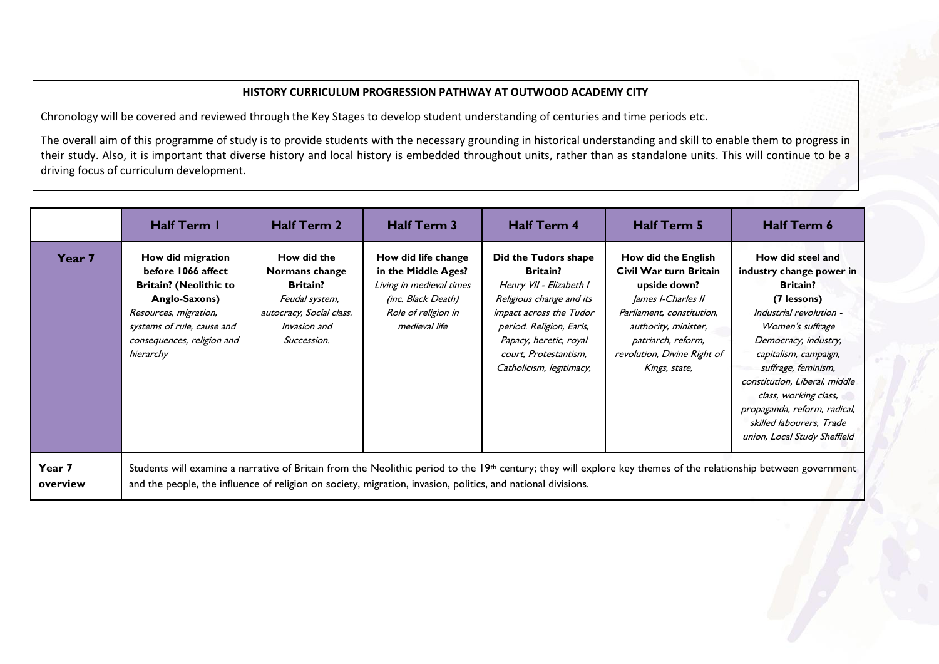#### **HISTORY CURRICULUM PROGRESSION PATHWAY AT OUTWOOD ACADEMY CITY**

Chronology will be covered and reviewed through the Key Stages to develop student understanding of centuries and time periods etc.

The overall aim of this programme of study is to provide students with the necessary grounding in historical understanding and skill to enable them to progress in their study. Also, it is important that diverse history and local history is embedded throughout units, rather than as standalone units. This will continue to be a driving focus of curriculum development.

|                    | <b>Half Term I</b>                                                                                                                                                                          | <b>Half Term 2</b>                                                                                                            | <b>Half Term 3</b>                                                                                                                          | <b>Half Term 4</b>                                                                                                                                                                                                                   | <b>Half Term 5</b>                                                                                                                                                                                             | <b>Half Term 6</b>                                                                                                                                                                                                                                                                                                                                           |
|--------------------|---------------------------------------------------------------------------------------------------------------------------------------------------------------------------------------------|-------------------------------------------------------------------------------------------------------------------------------|---------------------------------------------------------------------------------------------------------------------------------------------|--------------------------------------------------------------------------------------------------------------------------------------------------------------------------------------------------------------------------------------|----------------------------------------------------------------------------------------------------------------------------------------------------------------------------------------------------------------|--------------------------------------------------------------------------------------------------------------------------------------------------------------------------------------------------------------------------------------------------------------------------------------------------------------------------------------------------------------|
| Year 7             | How did migration<br>before 1066 affect<br><b>Britain? (Neolithic to</b><br>Anglo-Saxons)<br>Resources, migration,<br>systems of rule, cause and<br>consequences, religion and<br>hierarchy | How did the<br>Normans change<br><b>Britain?</b><br>Feudal system,<br>autocracy, Social class.<br>Invasion and<br>Succession. | How did life change<br>in the Middle Ages?<br>Living in medieval times<br><i>(inc. Black Death)</i><br>Role of religion in<br>medieval life | Did the Tudors shape<br><b>Britain?</b><br>Henry VII - Elizabeth I<br>Religious change and its<br>impact across the Tudor<br>period. Religion, Earls,<br>Papacy, heretic, royal<br>court, Protestantism,<br>Catholicism, legitimacy, | How did the English<br>Civil War turn Britain<br>upside down?<br>James I-Charles II<br>Parliament, constitution,<br>authority, minister,<br>patriarch, reform,<br>revolution, Divine Right of<br>Kings, state, | How did steel and<br>industry change power in<br><b>Britain?</b><br>(7 lessons)<br>Industrial revolution -<br>Women's suffrage<br>Democracy, industry,<br>capitalism, campaign,<br>suffrage, feminism,<br>constitution, Liberal, middle<br>class, working class,<br>propaganda, reform, radical,<br>skilled labourers, Trade<br>union, Local Study Sheffield |
| Year 7<br>overview | and the people, the influence of religion on society, migration, invasion, politics, and national divisions.                                                                                |                                                                                                                               |                                                                                                                                             |                                                                                                                                                                                                                                      |                                                                                                                                                                                                                | Students will examine a narrative of Britain from the Neolithic period to the 19th century; they will explore key themes of the relationship between government                                                                                                                                                                                              |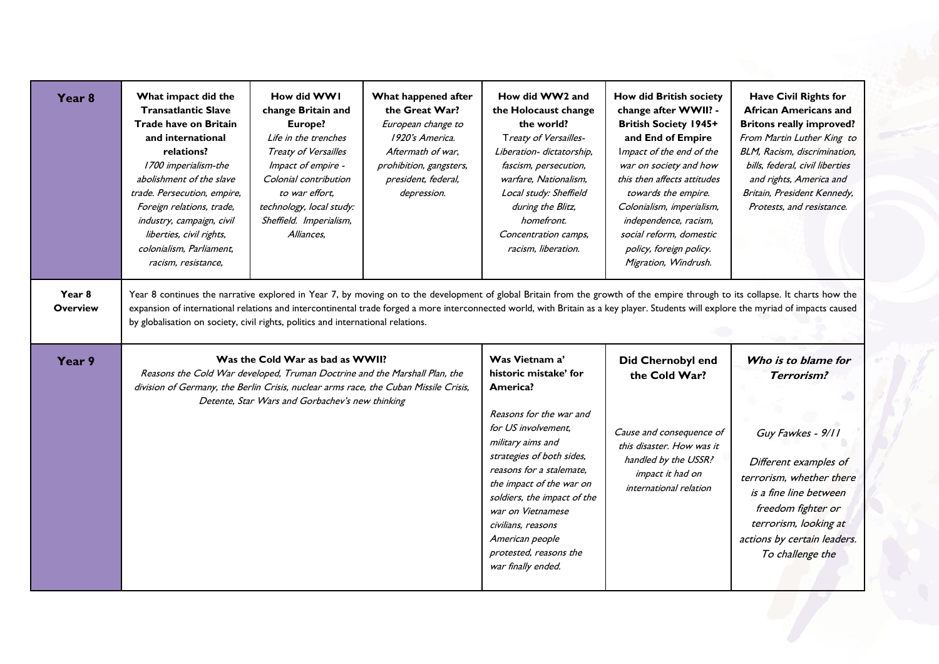| Year <sub>8</sub>         | What impact did the<br><b>Transatlantic Slave</b><br><b>Trade have on Britain</b><br>and international<br>relations?<br>1700 imperialism-the<br>abolishment of the slave<br>trade. Persecution, empire,<br>Foreign relations, trade,<br>industry, campaign, civil<br>liberties, civil rights,<br>colonialism, Parliament,<br>racism, resistance, | How did WWI<br>change Britain and<br>Europe?<br>Life in the trenches<br>Treaty of Versailles<br>Impact of empire -<br>Colonial contribution<br>to war effort,<br>technology, local study:<br>Sheffield. Imperialism,<br>Alliances, | What happened after<br>the Great War?<br>European change to<br>1920's America.<br>Aftermath of war.<br>prohibition, gangsters,<br>president, federal,<br>depression. | How did WW2 and<br>the Holocaust change<br>the world?<br>Treaty of Versailles-<br>Liberation- dictatorship,<br>fascism, persecution,<br>warfare, Nationalism,<br>Local study: Sheffield<br>during the Blitz,<br>homefront.<br>Concentration camps,<br>racism, liberation.                                                                                    | <b>How did British society</b><br>change after WWII? -<br><b>British Society 1945+</b><br>and End of Empire<br>Impact of the end of the<br>war on society and how<br>this then affects attitudes<br>towards the empire.<br>Colonialism, imperialism,<br>independence, racism,<br>social reform, domestic<br>policy, foreign policy.<br>Migration, Windrush. | <b>Have Civil Rights for</b><br><b>African Americans and</b><br><b>Britons really improved?</b><br>From Martin Luther King to<br>BLM, Racism, discrimination,<br>bills, federal, civil liberties<br>and rights, America and<br>Britain, President Kennedy,<br>Protests, and resistance.                                                                               |
|---------------------------|--------------------------------------------------------------------------------------------------------------------------------------------------------------------------------------------------------------------------------------------------------------------------------------------------------------------------------------------------|------------------------------------------------------------------------------------------------------------------------------------------------------------------------------------------------------------------------------------|----------------------------------------------------------------------------------------------------------------------------------------------------------------------|--------------------------------------------------------------------------------------------------------------------------------------------------------------------------------------------------------------------------------------------------------------------------------------------------------------------------------------------------------------|-------------------------------------------------------------------------------------------------------------------------------------------------------------------------------------------------------------------------------------------------------------------------------------------------------------------------------------------------------------|-----------------------------------------------------------------------------------------------------------------------------------------------------------------------------------------------------------------------------------------------------------------------------------------------------------------------------------------------------------------------|
| Year 8<br><b>Overview</b> | by globalisation on society, civil rights, politics and international relations.                                                                                                                                                                                                                                                                 |                                                                                                                                                                                                                                    |                                                                                                                                                                      |                                                                                                                                                                                                                                                                                                                                                              |                                                                                                                                                                                                                                                                                                                                                             | Year 8 continues the narrative explored in Year 7, by moving on to the development of global Britain from the growth of the empire through to its collapse. It charts how the<br>expansion of international relations and intercontinental trade forged a more interconnected world, with Britain as a key player. Students will explore the myriad of impacts caused |
| Year 9                    | division of Germany, the Berlin Crisis, nuclear arms race, the Cuban Missile Crisis,                                                                                                                                                                                                                                                             | Was the Cold War as bad as WWII?<br>Reasons the Cold War developed, Truman Doctrine and the Marshall Plan, the<br>Detente, Star Wars and Gorbachev's new thinking                                                                  |                                                                                                                                                                      | Was Vietnam a'<br>historic mistake' for<br>America?<br>Reasons for the war and<br>for US involvement,<br>military aims and<br>strategies of both sides,<br>reasons for a stalemate,<br>the impact of the war on<br>soldiers, the impact of the<br>war on Vietnamese<br>civilians. reasons<br>American people<br>protested, reasons the<br>war finally ended. | <b>Did Chernobyl end</b><br>the Cold War?<br>Cause and consequence of<br>this disaster. How was it<br>handled by the USSR?<br>impact it had on<br>international relation                                                                                                                                                                                    | Who is to blame for<br><b>Terrorism?</b><br>Guy Fawkes - 9/11<br>Different examples of<br>terrorism, whether there<br>is a fine line between<br>freedom fighter or<br>terrorism, looking at<br>actions by certain leaders.<br>To challenge the                                                                                                                        |